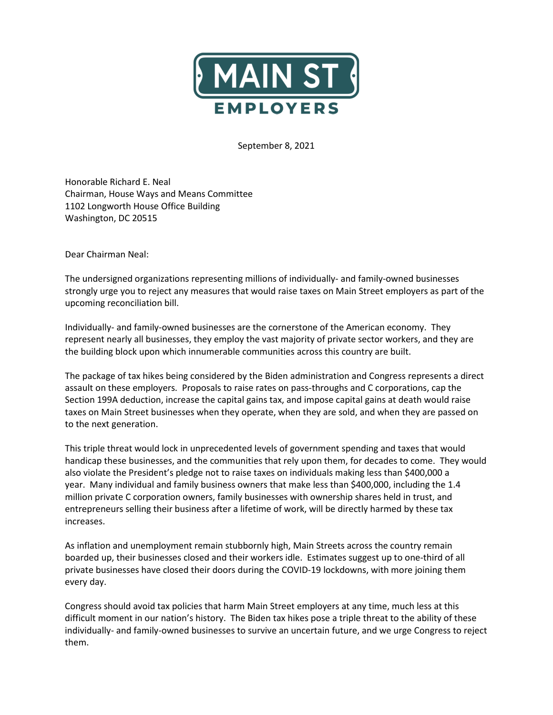

September 8, 2021

Honorable Richard E. Neal Chairman, House Ways and Means Committee 1102 Longworth House Office Building Washington, DC 20515

Dear Chairman Neal:

The undersigned organizations representing millions of individually- and family-owned businesses strongly urge you to reject any measures that would raise taxes on Main Street employers as part of the upcoming reconciliation bill.

Individually- and family-owned businesses are the cornerstone of the American economy. They represent nearly all businesses, they employ the vast majority of private sector workers, and they are the building block upon which innumerable communities across this country are built.

The package of tax hikes being considered by the Biden administration and Congress represents a direct assault on these employers. Proposals to raise rates on pass-throughs and C corporations, cap the Section 199A deduction, increase the capital gains tax, and impose capital gains at death would raise taxes on Main Street businesses when they operate, when they are sold, and when they are passed on to the next generation.

This triple threat would lock in unprecedented levels of government spending and taxes that would handicap these businesses, and the communities that rely upon them, for decades to come. They would also violate the President's pledge not to raise taxes on individuals making less than \$400,000 a year. Many individual and family business owners that make less than \$400,000, including the 1.4 million private C corporation owners, family businesses with ownership shares held in trust, and entrepreneurs selling their business after a lifetime of work, will be directly harmed by these tax increases.

As inflation and unemployment remain stubbornly high, Main Streets across the country remain boarded up, their businesses closed and their workers idle. Estimates suggest up to one-third of all private businesses have closed their doors during the COVID-19 lockdowns, with more joining them every day.

Congress should avoid tax policies that harm Main Street employers at any time, much less at this difficult moment in our nation's history. The Biden tax hikes pose a triple threat to the ability of these individually- and family-owned businesses to survive an uncertain future, and we urge Congress to reject them.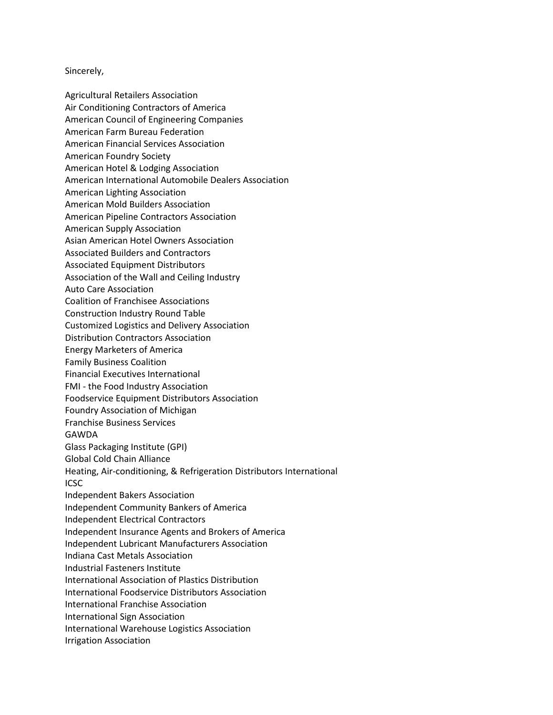Sincerely,

Agricultural Retailers Association Air Conditioning Contractors of America American Council of Engineering Companies American Farm Bureau Federation American Financial Services Association American Foundry Society American Hotel & Lodging Association American International Automobile Dealers Association American Lighting Association American Mold Builders Association American Pipeline Contractors Association American Supply Association Asian American Hotel Owners Association Associated Builders and Contractors Associated Equipment Distributors Association of the Wall and Ceiling Industry Auto Care Association Coalition of Franchisee Associations Construction Industry Round Table Customized Logistics and Delivery Association Distribution Contractors Association Energy Marketers of America Family Business Coalition Financial Executives International FMI - the Food Industry Association Foodservice Equipment Distributors Association Foundry Association of Michigan Franchise Business Services GAWDA Glass Packaging Institute (GPI) Global Cold Chain Alliance Heating, Air-conditioning, & Refrigeration Distributors International **ICSC** Independent Bakers Association Independent Community Bankers of America Independent Electrical Contractors Independent Insurance Agents and Brokers of America Independent Lubricant Manufacturers Association Indiana Cast Metals Association Industrial Fasteners Institute International Association of Plastics Distribution International Foodservice Distributors Association International Franchise Association International Sign Association International Warehouse Logistics Association Irrigation Association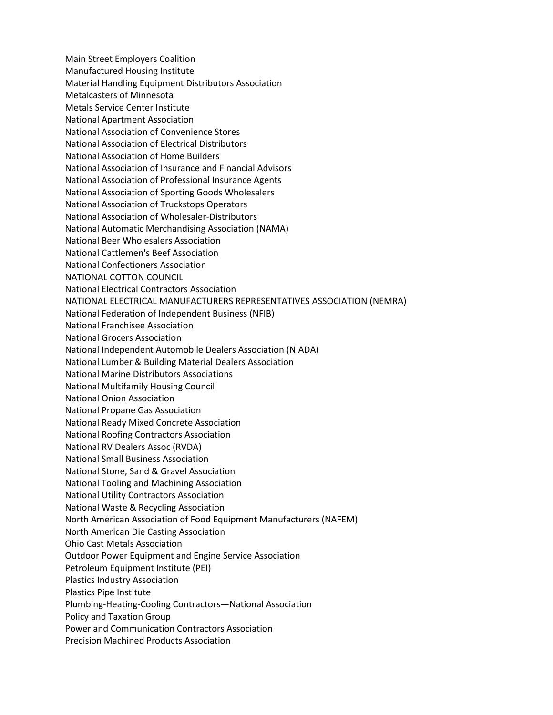Main Street Employers Coalition Manufactured Housing Institute Material Handling Equipment Distributors Association Metalcasters of Minnesota Metals Service Center Institute National Apartment Association National Association of Convenience Stores National Association of Electrical Distributors National Association of Home Builders National Association of Insurance and Financial Advisors National Association of Professional Insurance Agents National Association of Sporting Goods Wholesalers National Association of Truckstops Operators National Association of Wholesaler-Distributors National Automatic Merchandising Association (NAMA) National Beer Wholesalers Association National Cattlemen's Beef Association National Confectioners Association NATIONAL COTTON COUNCIL National Electrical Contractors Association NATIONAL ELECTRICAL MANUFACTURERS REPRESENTATIVES ASSOCIATION (NEMRA) National Federation of Independent Business (NFIB) National Franchisee Association National Grocers Association National Independent Automobile Dealers Association (NIADA) National Lumber & Building Material Dealers Association National Marine Distributors Associations National Multifamily Housing Council National Onion Association National Propane Gas Association National Ready Mixed Concrete Association National Roofing Contractors Association National RV Dealers Assoc (RVDA) National Small Business Association National Stone, Sand & Gravel Association National Tooling and Machining Association National Utility Contractors Association National Waste & Recycling Association North American Association of Food Equipment Manufacturers (NAFEM) North American Die Casting Association Ohio Cast Metals Association Outdoor Power Equipment and Engine Service Association Petroleum Equipment Institute (PEI) Plastics Industry Association Plastics Pipe Institute Plumbing-Heating-Cooling Contractors—National Association Policy and Taxation Group Power and Communication Contractors Association Precision Machined Products Association